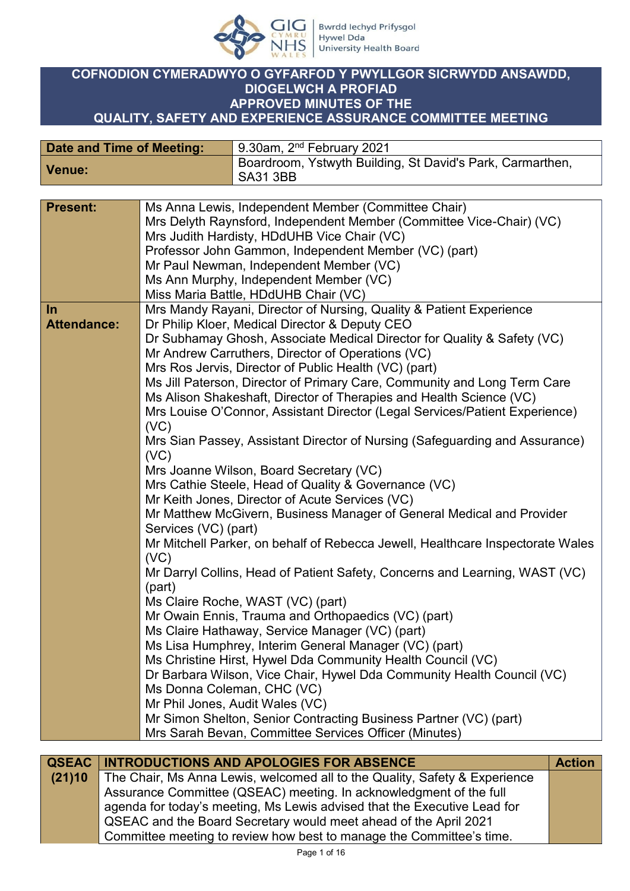

### **COFNODION CYMERADWYO O GYFARFOD Y PWYLLGOR SICRWYDD ANSAWDD, DIOGELWCH A PROFIAD APPROVED MINUTES OF THE QUALITY, SAFETY AND EXPERIENCE ASSURANCE COMMITTEE MEETING**

| Date and Time of Meeting: | 9.30am, 2 <sup>nd</sup> February 2021                                 |
|---------------------------|-----------------------------------------------------------------------|
| <b>Venue:</b>             | Boardroom, Ystwyth Building, St David's Park, Carmarthen,<br>SA31 3BB |

| <b>Present:</b>    | Ms Anna Lewis, Independent Member (Committee Chair)                            |
|--------------------|--------------------------------------------------------------------------------|
|                    | Mrs Delyth Raynsford, Independent Member (Committee Vice-Chair) (VC)           |
|                    | Mrs Judith Hardisty, HDdUHB Vice Chair (VC)                                    |
|                    | Professor John Gammon, Independent Member (VC) (part)                          |
|                    | Mr Paul Newman, Independent Member (VC)                                        |
|                    | Ms Ann Murphy, Independent Member (VC)                                         |
|                    | Miss Maria Battle, HDdUHB Chair (VC)                                           |
| In                 | Mrs Mandy Rayani, Director of Nursing, Quality & Patient Experience            |
| <b>Attendance:</b> | Dr Philip Kloer, Medical Director & Deputy CEO                                 |
|                    | Dr Subhamay Ghosh, Associate Medical Director for Quality & Safety (VC)        |
|                    | Mr Andrew Carruthers, Director of Operations (VC)                              |
|                    | Mrs Ros Jervis, Director of Public Health (VC) (part)                          |
|                    | Ms Jill Paterson, Director of Primary Care, Community and Long Term Care       |
|                    | Ms Alison Shakeshaft, Director of Therapies and Health Science (VC)            |
|                    | Mrs Louise O'Connor, Assistant Director (Legal Services/Patient Experience)    |
|                    | (VC)                                                                           |
|                    | Mrs Sian Passey, Assistant Director of Nursing (Safeguarding and Assurance)    |
|                    | (VC)                                                                           |
|                    | Mrs Joanne Wilson, Board Secretary (VC)                                        |
|                    | Mrs Cathie Steele, Head of Quality & Governance (VC)                           |
|                    | Mr Keith Jones, Director of Acute Services (VC)                                |
|                    | Mr Matthew McGivern, Business Manager of General Medical and Provider          |
|                    | Services (VC) (part)                                                           |
|                    | Mr Mitchell Parker, on behalf of Rebecca Jewell, Healthcare Inspectorate Wales |
|                    | (VC)                                                                           |
|                    | Mr Darryl Collins, Head of Patient Safety, Concerns and Learning, WAST (VC)    |
|                    | (part)                                                                         |
|                    | Ms Claire Roche, WAST (VC) (part)                                              |
|                    | Mr Owain Ennis, Trauma and Orthopaedics (VC) (part)                            |
|                    | Ms Claire Hathaway, Service Manager (VC) (part)                                |
|                    | Ms Lisa Humphrey, Interim General Manager (VC) (part)                          |
|                    | Ms Christine Hirst, Hywel Dda Community Health Council (VC)                    |
|                    | Dr Barbara Wilson, Vice Chair, Hywel Dda Community Health Council (VC)         |
|                    | Ms Donna Coleman, CHC (VC)                                                     |
|                    | Mr Phil Jones, Audit Wales (VC)                                                |
|                    | Mr Simon Shelton, Senior Contracting Business Partner (VC) (part)              |
|                    | Mrs Sarah Bevan, Committee Services Officer (Minutes)                          |

| <b>QSEAC   INTRODUCTIONS AND APOLOGIES FOR ABSENCE</b>                                   | <b>Action</b> |
|------------------------------------------------------------------------------------------|---------------|
| <b>(21)10</b> The Chair, Ms Anna Lewis, welcomed all to the Quality, Safety & Experience |               |
| Assurance Committee (QSEAC) meeting. In acknowledgment of the full                       |               |
| agenda for today's meeting, Ms Lewis advised that the Executive Lead for                 |               |
| QSEAC and the Board Secretary would meet ahead of the April 2021                         |               |
| Committee meeting to review how best to manage the Committee's time.                     |               |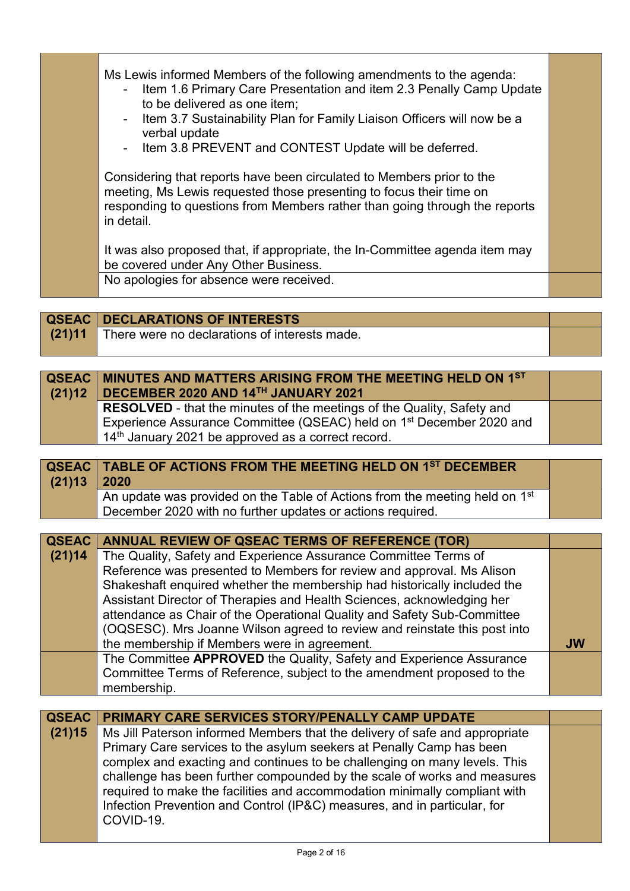|  | Ms Lewis informed Members of the following amendments to the agenda:<br>- Item 1.6 Primary Care Presentation and item 2.3 Penally Camp Update<br>to be delivered as one item;<br>- Item 3.7 Sustainability Plan for Family Liaison Officers will now be a<br>verbal update<br>- Item 3.8 PREVENT and CONTEST Update will be deferred. |  |
|--|---------------------------------------------------------------------------------------------------------------------------------------------------------------------------------------------------------------------------------------------------------------------------------------------------------------------------------------|--|
|  | Considering that reports have been circulated to Members prior to the<br>meeting, Ms Lewis requested those presenting to focus their time on<br>responding to questions from Members rather than going through the reports<br>in detail.<br>It was also proposed that, if appropriate, the In-Committee agenda item may               |  |
|  | be covered under Any Other Business.<br>No apologies for absence were received.                                                                                                                                                                                                                                                       |  |

|        | <b>QSEAC   DECLARATIONS OF INTERESTS</b>      |  |
|--------|-----------------------------------------------|--|
| (21)11 | There were no declarations of interests made. |  |
|        |                                               |  |

| QSEAC MINUTES AND MATTERS ARISING FROM THE MEETING HELD ON 1ST<br>$(21)12$ DECEMBER 2020 AND 14 <sup>TH</sup> JANUARY 2021 |  |
|----------------------------------------------------------------------------------------------------------------------------|--|
| <b>RESOLVED</b> - that the minutes of the meetings of the Quality, Safety and                                              |  |
| Experience Assurance Committee (QSEAC) held on 1 <sup>st</sup> December 2020 and                                           |  |
| $14th$ January 2021 be approved as a correct record.                                                                       |  |

|                 | <b>QSEAC   TABLE OF ACTIONS FROM THE MEETING HELD ON 1ST DECEMBER</b>         |
|-----------------|-------------------------------------------------------------------------------|
| $(21)13$   2020 |                                                                               |
|                 | An update was provided on the Table of Actions from the meeting held on $1st$ |
|                 | December 2020 with no further updates or actions required.                    |

| <b>QSEAC</b> | ANNUAL REVIEW OF QSEAC TERMS OF REFERENCE (TOR)                           |           |
|--------------|---------------------------------------------------------------------------|-----------|
| (21)14       | The Quality, Safety and Experience Assurance Committee Terms of           |           |
|              | Reference was presented to Members for review and approval. Ms Alison     |           |
|              | Shakeshaft enquired whether the membership had historically included the  |           |
|              | Assistant Director of Therapies and Health Sciences, acknowledging her    |           |
|              | attendance as Chair of the Operational Quality and Safety Sub-Committee   |           |
|              | (OQSESC). Mrs Joanne Wilson agreed to review and reinstate this post into |           |
|              | the membership if Members were in agreement.                              | <b>JW</b> |
|              | The Committee APPROVED the Quality, Safety and Experience Assurance       |           |
|              | Committee Terms of Reference, subject to the amendment proposed to the    |           |
|              | membership.                                                               |           |

|        | <b>QSEAC   PRIMARY CARE SERVICES STORY/PENALLY CAMP UPDATE</b>              |  |
|--------|-----------------------------------------------------------------------------|--|
| (21)15 | Ms Jill Paterson informed Members that the delivery of safe and appropriate |  |
|        | Primary Care services to the asylum seekers at Penally Camp has been        |  |
|        | complex and exacting and continues to be challenging on many levels. This   |  |
|        | challenge has been further compounded by the scale of works and measures    |  |
|        | required to make the facilities and accommodation minimally compliant with  |  |
|        | Infection Prevention and Control (IP&C) measures, and in particular, for    |  |
|        | COVID-19.                                                                   |  |
|        |                                                                             |  |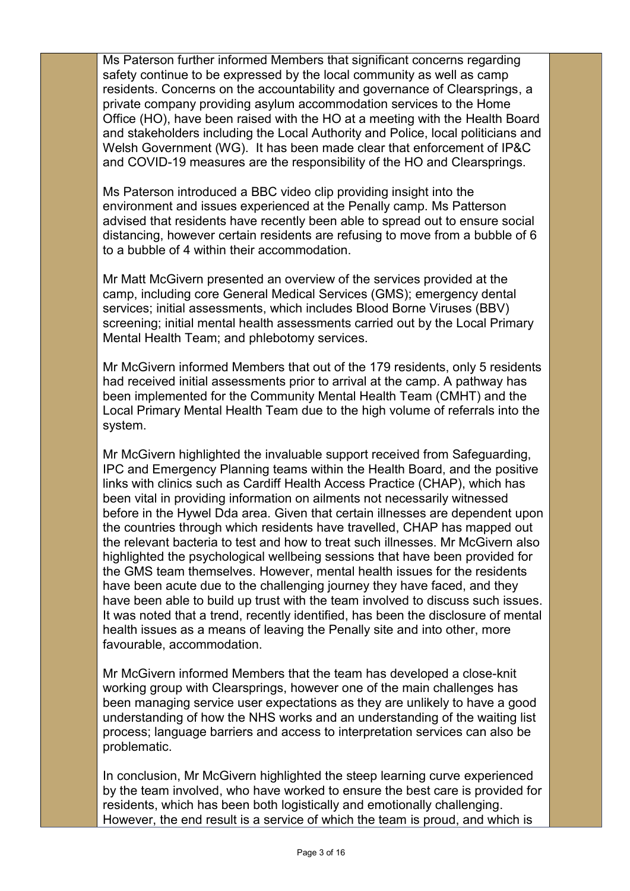Ms Paterson further informed Members that significant concerns regarding safety continue to be expressed by the local community as well as camp residents. Concerns on the accountability and governance of Clearsprings, a private company providing asylum accommodation services to the Home Office (HO), have been raised with the HO at a meeting with the Health Board and stakeholders including the Local Authority and Police, local politicians and Welsh Government (WG). It has been made clear that enforcement of IP&C and COVID-19 measures are the responsibility of the HO and Clearsprings.

Ms Paterson introduced a BBC video clip providing insight into the environment and issues experienced at the Penally camp. Ms Patterson advised that residents have recently been able to spread out to ensure social distancing, however certain residents are refusing to move from a bubble of 6 to a bubble of 4 within their accommodation.

Mr Matt McGivern presented an overview of the services provided at the camp, including core General Medical Services (GMS); emergency dental services; initial assessments, which includes Blood Borne Viruses (BBV) screening; initial mental health assessments carried out by the Local Primary Mental Health Team; and phlebotomy services.

Mr McGivern informed Members that out of the 179 residents, only 5 residents had received initial assessments prior to arrival at the camp. A pathway has been implemented for the Community Mental Health Team (CMHT) and the Local Primary Mental Health Team due to the high volume of referrals into the system.

Mr McGivern highlighted the invaluable support received from Safeguarding, IPC and Emergency Planning teams within the Health Board, and the positive links with clinics such as Cardiff Health Access Practice (CHAP), which has been vital in providing information on ailments not necessarily witnessed before in the Hywel Dda area. Given that certain illnesses are dependent upon the countries through which residents have travelled, CHAP has mapped out the relevant bacteria to test and how to treat such illnesses. Mr McGivern also highlighted the psychological wellbeing sessions that have been provided for the GMS team themselves. However, mental health issues for the residents have been acute due to the challenging journey they have faced, and they have been able to build up trust with the team involved to discuss such issues. It was noted that a trend, recently identified, has been the disclosure of mental health issues as a means of leaving the Penally site and into other, more favourable, accommodation.

Mr McGivern informed Members that the team has developed a close-knit working group with Clearsprings, however one of the main challenges has been managing service user expectations as they are unlikely to have a good understanding of how the NHS works and an understanding of the waiting list process; language barriers and access to interpretation services can also be problematic.

In conclusion, Mr McGivern highlighted the steep learning curve experienced by the team involved, who have worked to ensure the best care is provided for residents, which has been both logistically and emotionally challenging. However, the end result is a service of which the team is proud, and which is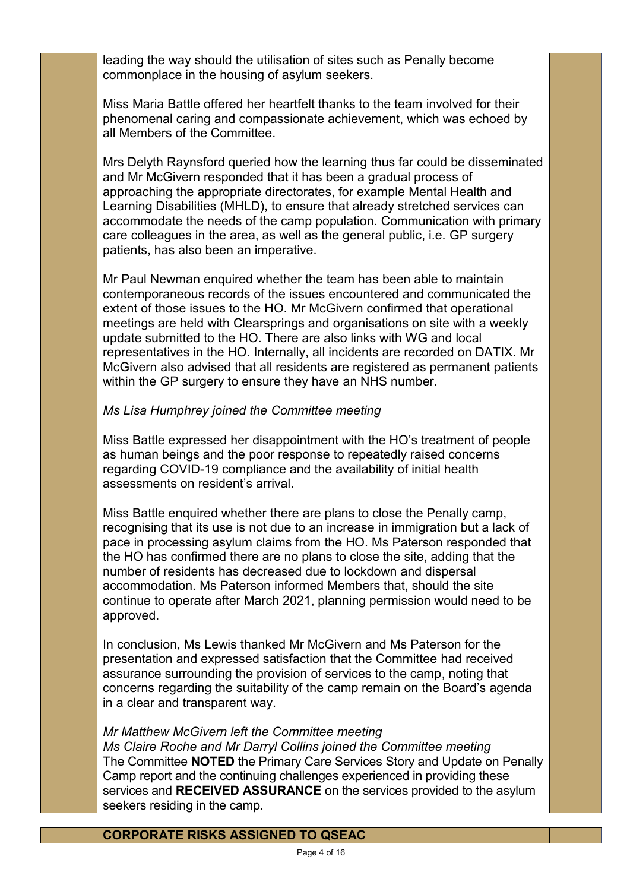leading the way should the utilisation of sites such as Penally become commonplace in the housing of asylum seekers.

Miss Maria Battle offered her heartfelt thanks to the team involved for their phenomenal caring and compassionate achievement, which was echoed by all Members of the Committee.

Mrs Delyth Raynsford queried how the learning thus far could be disseminated and Mr McGivern responded that it has been a gradual process of approaching the appropriate directorates, for example Mental Health and Learning Disabilities (MHLD), to ensure that already stretched services can accommodate the needs of the camp population. Communication with primary care colleagues in the area, as well as the general public, i.e. GP surgery patients, has also been an imperative.

Mr Paul Newman enquired whether the team has been able to maintain contemporaneous records of the issues encountered and communicated the extent of those issues to the HO. Mr McGivern confirmed that operational meetings are held with Clearsprings and organisations on site with a weekly update submitted to the HO. There are also links with WG and local representatives in the HO. Internally, all incidents are recorded on DATIX. Mr McGivern also advised that all residents are registered as permanent patients within the GP surgery to ensure they have an NHS number.

# *Ms Lisa Humphrey joined the Committee meeting*

Miss Battle expressed her disappointment with the HO's treatment of people as human beings and the poor response to repeatedly raised concerns regarding COVID-19 compliance and the availability of initial health assessments on resident's arrival.

Miss Battle enquired whether there are plans to close the Penally camp, recognising that its use is not due to an increase in immigration but a lack of pace in processing asylum claims from the HO. Ms Paterson responded that the HO has confirmed there are no plans to close the site, adding that the number of residents has decreased due to lockdown and dispersal accommodation. Ms Paterson informed Members that, should the site continue to operate after March 2021, planning permission would need to be approved.

In conclusion, Ms Lewis thanked Mr McGivern and Ms Paterson for the presentation and expressed satisfaction that the Committee had received assurance surrounding the provision of services to the camp, noting that concerns regarding the suitability of the camp remain on the Board's agenda in a clear and transparent way.

# *Mr Matthew McGivern left the Committee meeting*

*Ms Claire Roche and Mr Darryl Collins joined the Committee meeting* The Committee **NOTED** the Primary Care Services Story and Update on Penally Camp report and the continuing challenges experienced in providing these services and **RECEIVED ASSURANCE** on the services provided to the asylum seekers residing in the camp.

**CORPORATE RISKS ASSIGNED TO QSEAC**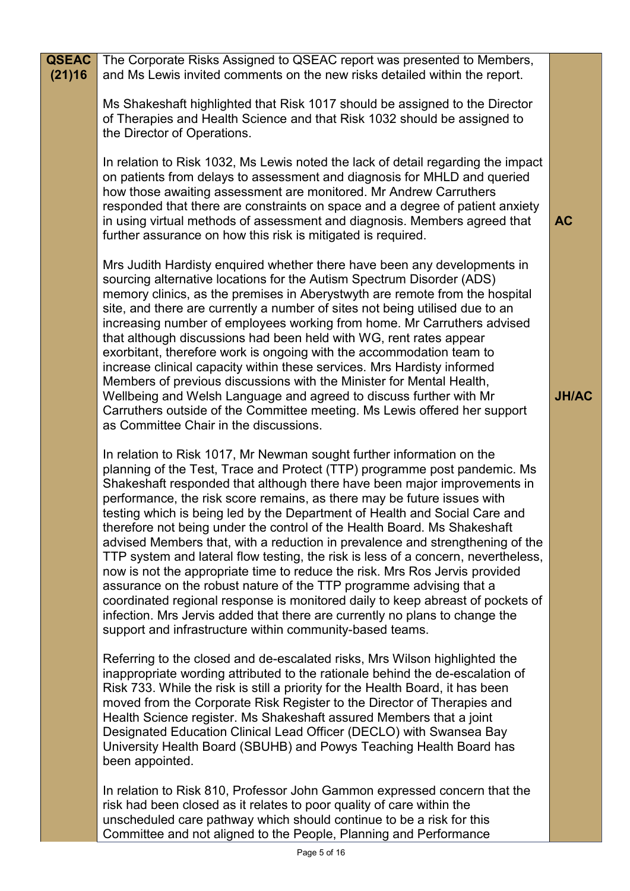| <b>QSEAC</b><br>(21)16 | The Corporate Risks Assigned to QSEAC report was presented to Members,<br>and Ms Lewis invited comments on the new risks detailed within the report.                                                                                                                                                                                                                                                                                                                                                                                                                                                                                                                                                                                                                                                                                                                                                                                                                                                                         |              |
|------------------------|------------------------------------------------------------------------------------------------------------------------------------------------------------------------------------------------------------------------------------------------------------------------------------------------------------------------------------------------------------------------------------------------------------------------------------------------------------------------------------------------------------------------------------------------------------------------------------------------------------------------------------------------------------------------------------------------------------------------------------------------------------------------------------------------------------------------------------------------------------------------------------------------------------------------------------------------------------------------------------------------------------------------------|--------------|
|                        | Ms Shakeshaft highlighted that Risk 1017 should be assigned to the Director<br>of Therapies and Health Science and that Risk 1032 should be assigned to<br>the Director of Operations.                                                                                                                                                                                                                                                                                                                                                                                                                                                                                                                                                                                                                                                                                                                                                                                                                                       |              |
|                        | In relation to Risk 1032, Ms Lewis noted the lack of detail regarding the impact<br>on patients from delays to assessment and diagnosis for MHLD and queried<br>how those awaiting assessment are monitored. Mr Andrew Carruthers<br>responded that there are constraints on space and a degree of patient anxiety<br>in using virtual methods of assessment and diagnosis. Members agreed that<br>further assurance on how this risk is mitigated is required.                                                                                                                                                                                                                                                                                                                                                                                                                                                                                                                                                              | <b>AC</b>    |
|                        | Mrs Judith Hardisty enquired whether there have been any developments in<br>sourcing alternative locations for the Autism Spectrum Disorder (ADS)<br>memory clinics, as the premises in Aberystwyth are remote from the hospital<br>site, and there are currently a number of sites not being utilised due to an<br>increasing number of employees working from home. Mr Carruthers advised<br>that although discussions had been held with WG, rent rates appear<br>exorbitant, therefore work is ongoing with the accommodation team to<br>increase clinical capacity within these services. Mrs Hardisty informed<br>Members of previous discussions with the Minister for Mental Health,<br>Wellbeing and Welsh Language and agreed to discuss further with Mr<br>Carruthers outside of the Committee meeting. Ms Lewis offered her support<br>as Committee Chair in the discussions.                                                                                                                                    | <b>JH/AC</b> |
|                        | In relation to Risk 1017, Mr Newman sought further information on the<br>planning of the Test, Trace and Protect (TTP) programme post pandemic. Ms<br>Shakeshaft responded that although there have been major improvements in<br>performance, the risk score remains, as there may be future issues with<br>testing which is being led by the Department of Health and Social Care and<br>therefore not being under the control of the Health Board. Ms Shakeshaft<br>advised Members that, with a reduction in prevalence and strengthening of the<br>TTP system and lateral flow testing, the risk is less of a concern, nevertheless,<br>now is not the appropriate time to reduce the risk. Mrs Ros Jervis provided<br>assurance on the robust nature of the TTP programme advising that a<br>coordinated regional response is monitored daily to keep abreast of pockets of<br>infection. Mrs Jervis added that there are currently no plans to change the<br>support and infrastructure within community-based teams. |              |
|                        | Referring to the closed and de-escalated risks, Mrs Wilson highlighted the<br>inappropriate wording attributed to the rationale behind the de-escalation of<br>Risk 733. While the risk is still a priority for the Health Board, it has been<br>moved from the Corporate Risk Register to the Director of Therapies and<br>Health Science register. Ms Shakeshaft assured Members that a joint<br>Designated Education Clinical Lead Officer (DECLO) with Swansea Bay<br>University Health Board (SBUHB) and Powys Teaching Health Board has<br>been appointed.                                                                                                                                                                                                                                                                                                                                                                                                                                                             |              |
|                        | In relation to Risk 810, Professor John Gammon expressed concern that the<br>risk had been closed as it relates to poor quality of care within the<br>unscheduled care pathway which should continue to be a risk for this<br>Committee and not aligned to the People, Planning and Performance                                                                                                                                                                                                                                                                                                                                                                                                                                                                                                                                                                                                                                                                                                                              |              |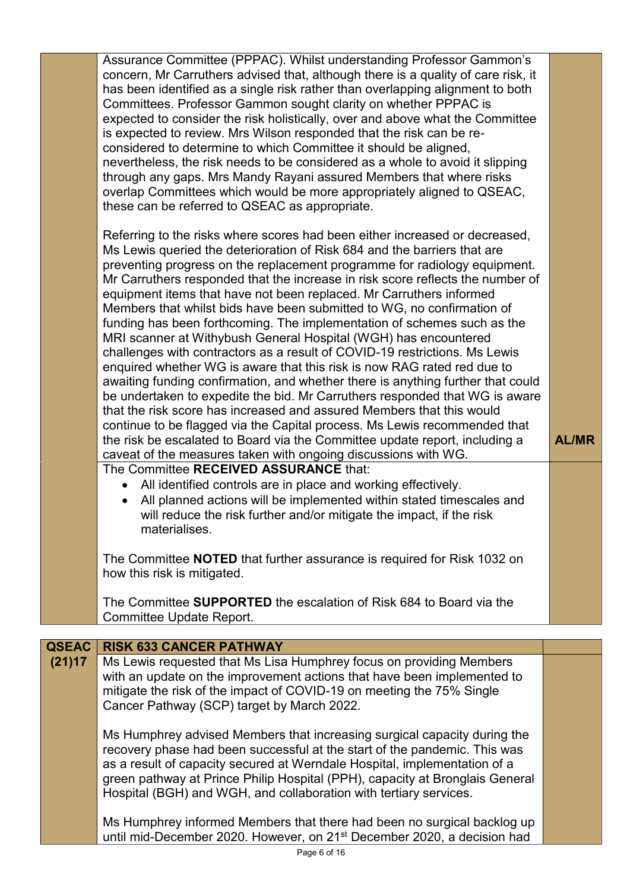|                        | Assurance Committee (PPPAC). Whilst understanding Professor Gammon's<br>concern, Mr Carruthers advised that, although there is a quality of care risk, it<br>has been identified as a single risk rather than overlapping alignment to both<br>Committees. Professor Gammon sought clarity on whether PPPAC is<br>expected to consider the risk holistically, over and above what the Committee<br>is expected to review. Mrs Wilson responded that the risk can be re-<br>considered to determine to which Committee it should be aligned,<br>nevertheless, the risk needs to be considered as a whole to avoid it slipping<br>through any gaps. Mrs Mandy Rayani assured Members that where risks<br>overlap Committees which would be more appropriately aligned to QSEAC,<br>these can be referred to QSEAC as appropriate.<br>Referring to the risks where scores had been either increased or decreased,<br>Ms Lewis queried the deterioration of Risk 684 and the barriers that are<br>preventing progress on the replacement programme for radiology equipment.<br>Mr Carruthers responded that the increase in risk score reflects the number of<br>equipment items that have not been replaced. Mr Carruthers informed<br>Members that whilst bids have been submitted to WG, no confirmation of<br>funding has been forthcoming. The implementation of schemes such as the<br>MRI scanner at Withybush General Hospital (WGH) has encountered<br>challenges with contractors as a result of COVID-19 restrictions. Ms Lewis<br>enquired whether WG is aware that this risk is now RAG rated red due to<br>awaiting funding confirmation, and whether there is anything further that could<br>be undertaken to expedite the bid. Mr Carruthers responded that WG is aware<br>that the risk score has increased and assured Members that this would<br>continue to be flagged via the Capital process. Ms Lewis recommended that<br>the risk be escalated to Board via the Committee update report, including a<br>caveat of the measures taken with ongoing discussions with WG.<br>The Committee RECEIVED ASSURANCE that:<br>All identified controls are in place and working effectively.<br>$\bullet$<br>All planned actions will be implemented within stated timescales and<br>will reduce the risk further and/or mitigate the impact, if the risk<br>materialises.<br>The Committee <b>NOTED</b> that further assurance is required for Risk 1032 on<br>how this risk is mitigated. | <b>AL/MR</b> |
|------------------------|------------------------------------------------------------------------------------------------------------------------------------------------------------------------------------------------------------------------------------------------------------------------------------------------------------------------------------------------------------------------------------------------------------------------------------------------------------------------------------------------------------------------------------------------------------------------------------------------------------------------------------------------------------------------------------------------------------------------------------------------------------------------------------------------------------------------------------------------------------------------------------------------------------------------------------------------------------------------------------------------------------------------------------------------------------------------------------------------------------------------------------------------------------------------------------------------------------------------------------------------------------------------------------------------------------------------------------------------------------------------------------------------------------------------------------------------------------------------------------------------------------------------------------------------------------------------------------------------------------------------------------------------------------------------------------------------------------------------------------------------------------------------------------------------------------------------------------------------------------------------------------------------------------------------------------------------------------------------------------------------------------------------------------------------------------------------------------------------------------------------------------------------------------------------------------------------------------------------------------------------------------------------------------------------------------------------------------------------------------------------------------------------------------------------------------------------------------------------------------------------------|--------------|
|                        | The Committee <b>SUPPORTED</b> the escalation of Risk 684 to Board via the<br>Committee Update Report.                                                                                                                                                                                                                                                                                                                                                                                                                                                                                                                                                                                                                                                                                                                                                                                                                                                                                                                                                                                                                                                                                                                                                                                                                                                                                                                                                                                                                                                                                                                                                                                                                                                                                                                                                                                                                                                                                                                                                                                                                                                                                                                                                                                                                                                                                                                                                                                               |              |
|                        |                                                                                                                                                                                                                                                                                                                                                                                                                                                                                                                                                                                                                                                                                                                                                                                                                                                                                                                                                                                                                                                                                                                                                                                                                                                                                                                                                                                                                                                                                                                                                                                                                                                                                                                                                                                                                                                                                                                                                                                                                                                                                                                                                                                                                                                                                                                                                                                                                                                                                                      |              |
| <b>QSEAC</b><br>(21)17 | <b>RISK 633 CANCER PATHWAY</b><br>Ms Lewis requested that Ms Lisa Humphrey focus on providing Members<br>with an update on the improvement actions that have been implemented to<br>mitigate the risk of the impact of COVID-19 on meeting the 75% Single<br>Cancer Pathway (SCP) target by March 2022.                                                                                                                                                                                                                                                                                                                                                                                                                                                                                                                                                                                                                                                                                                                                                                                                                                                                                                                                                                                                                                                                                                                                                                                                                                                                                                                                                                                                                                                                                                                                                                                                                                                                                                                                                                                                                                                                                                                                                                                                                                                                                                                                                                                              |              |
|                        | Ms Humphrey advised Members that increasing surgical capacity during the<br>recovery phase had been successful at the start of the pandemic. This was<br>as a result of capacity secured at Werndale Hospital, implementation of a<br>green pathway at Prince Philip Hospital (PPH), capacity at Bronglais General<br>Hospital (BGH) and WGH, and collaboration with tertiary services.                                                                                                                                                                                                                                                                                                                                                                                                                                                                                                                                                                                                                                                                                                                                                                                                                                                                                                                                                                                                                                                                                                                                                                                                                                                                                                                                                                                                                                                                                                                                                                                                                                                                                                                                                                                                                                                                                                                                                                                                                                                                                                              |              |
|                        | Ms Humphrey informed Members that there had been no surgical backlog up                                                                                                                                                                                                                                                                                                                                                                                                                                                                                                                                                                                                                                                                                                                                                                                                                                                                                                                                                                                                                                                                                                                                                                                                                                                                                                                                                                                                                                                                                                                                                                                                                                                                                                                                                                                                                                                                                                                                                                                                                                                                                                                                                                                                                                                                                                                                                                                                                              |              |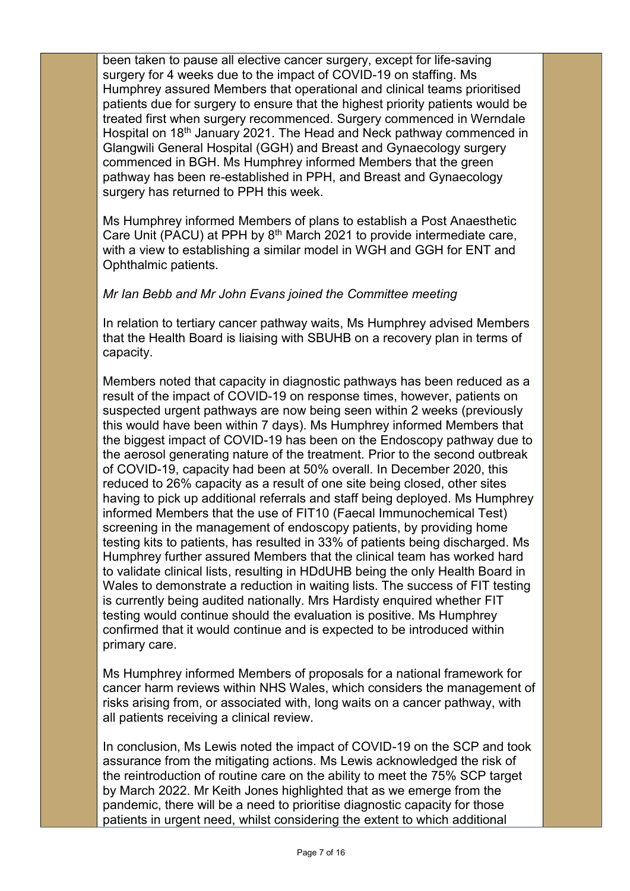been taken to pause all elective cancer surgery, except for life-saving surgery for 4 weeks due to the impact of COVID-19 on staffing. Ms Humphrey assured Members that operational and clinical teams prioritised patients due for surgery to ensure that the highest priority patients would be treated first when surgery recommenced. Surgery commenced in Werndale Hospital on 18<sup>th</sup> January 2021. The Head and Neck pathway commenced in Glangwili General Hospital (GGH) and Breast and Gynaecology surgery commenced in BGH. Ms Humphrey informed Members that the green pathway has been re-established in PPH, and Breast and Gynaecology surgery has returned to PPH this week.

Ms Humphrey informed Members of plans to establish a Post Anaesthetic Care Unit (PACU) at PPH by  $8<sup>th</sup>$  March 2021 to provide intermediate care, with a view to establishing a similar model in WGH and GGH for ENT and Ophthalmic patients.

### *Mr Ian Bebb and Mr John Evans joined the Committee meeting*

In relation to tertiary cancer pathway waits, Ms Humphrey advised Members that the Health Board is liaising with SBUHB on a recovery plan in terms of capacity.

Members noted that capacity in diagnostic pathways has been reduced as a result of the impact of COVID-19 on response times, however, patients on suspected urgent pathways are now being seen within 2 weeks (previously this would have been within 7 days). Ms Humphrey informed Members that the biggest impact of COVID-19 has been on the Endoscopy pathway due to the aerosol generating nature of the treatment. Prior to the second outbreak of COVID-19, capacity had been at 50% overall. In December 2020, this reduced to 26% capacity as a result of one site being closed, other sites having to pick up additional referrals and staff being deployed. Ms Humphrey informed Members that the use of FIT10 (Faecal Immunochemical Test) screening in the management of endoscopy patients, by providing home testing kits to patients, has resulted in 33% of patients being discharged. Ms Humphrey further assured Members that the clinical team has worked hard to validate clinical lists, resulting in HDdUHB being the only Health Board in Wales to demonstrate a reduction in waiting lists. The success of FIT testing is currently being audited nationally. Mrs Hardisty enquired whether FIT testing would continue should the evaluation is positive. Ms Humphrey confirmed that it would continue and is expected to be introduced within primary care.

Ms Humphrey informed Members of proposals for a national framework for cancer harm reviews within NHS Wales, which considers the management of risks arising from, or associated with, long waits on a cancer pathway, with all patients receiving a clinical review.

In conclusion, Ms Lewis noted the impact of COVID-19 on the SCP and took assurance from the mitigating actions. Ms Lewis acknowledged the risk of the reintroduction of routine care on the ability to meet the 75% SCP target by March 2022. Mr Keith Jones highlighted that as we emerge from the pandemic, there will be a need to prioritise diagnostic capacity for those patients in urgent need, whilst considering the extent to which additional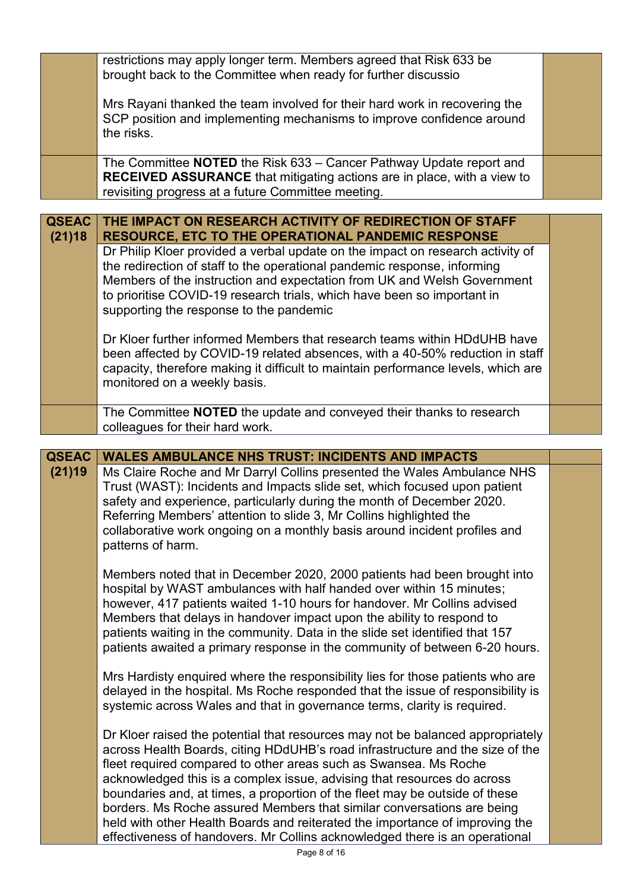|                        | restrictions may apply longer term. Members agreed that Risk 633 be<br>brought back to the Committee when ready for further discussio                                                                                                                                                                                                                                                                                                                                |  |
|------------------------|----------------------------------------------------------------------------------------------------------------------------------------------------------------------------------------------------------------------------------------------------------------------------------------------------------------------------------------------------------------------------------------------------------------------------------------------------------------------|--|
|                        | Mrs Rayani thanked the team involved for their hard work in recovering the<br>SCP position and implementing mechanisms to improve confidence around<br>the risks.                                                                                                                                                                                                                                                                                                    |  |
|                        | The Committee NOTED the Risk 633 - Cancer Pathway Update report and<br><b>RECEIVED ASSURANCE</b> that mitigating actions are in place, with a view to<br>revisiting progress at a future Committee meeting.                                                                                                                                                                                                                                                          |  |
| <b>QSEAC</b><br>(21)18 | THE IMPACT ON RESEARCH ACTIVITY OF REDIRECTION OF STAFF<br><b>RESOURCE, ETC TO THE OPERATIONAL PANDEMIC RESPONSE</b>                                                                                                                                                                                                                                                                                                                                                 |  |
|                        | Dr Philip Kloer provided a verbal update on the impact on research activity of<br>the redirection of staff to the operational pandemic response, informing<br>Members of the instruction and expectation from UK and Welsh Government<br>to prioritise COVID-19 research trials, which have been so important in<br>supporting the response to the pandemic                                                                                                          |  |
|                        | Dr Kloer further informed Members that research teams within HDdUHB have<br>been affected by COVID-19 related absences, with a 40-50% reduction in staff<br>capacity, therefore making it difficult to maintain performance levels, which are<br>monitored on a weekly basis.                                                                                                                                                                                        |  |
|                        | The Committee <b>NOTED</b> the update and conveyed their thanks to research<br>colleagues for their hard work.                                                                                                                                                                                                                                                                                                                                                       |  |
|                        |                                                                                                                                                                                                                                                                                                                                                                                                                                                                      |  |
|                        |                                                                                                                                                                                                                                                                                                                                                                                                                                                                      |  |
| <b>QSEAC</b><br>(21)19 | <b>WALES AMBULANCE NHS TRUST: INCIDENTS AND IMPACTS</b><br>Ms Claire Roche and Mr Darryl Collins presented the Wales Ambulance NHS<br>Trust (WAST): Incidents and Impacts slide set, which focused upon patient<br>safety and experience, particularly during the month of December 2020.<br>Referring Members' attention to slide 3, Mr Collins highlighted the<br>collaborative work ongoing on a monthly basis around incident profiles and<br>patterns of harm.  |  |
|                        | Members noted that in December 2020, 2000 patients had been brought into<br>hospital by WAST ambulances with half handed over within 15 minutes;<br>however, 417 patients waited 1-10 hours for handover. Mr Collins advised<br>Members that delays in handover impact upon the ability to respond to<br>patients waiting in the community. Data in the slide set identified that 157<br>patients awaited a primary response in the community of between 6-20 hours. |  |
|                        | Mrs Hardisty enquired where the responsibility lies for those patients who are<br>delayed in the hospital. Ms Roche responded that the issue of responsibility is<br>systemic across Wales and that in governance terms, clarity is required.                                                                                                                                                                                                                        |  |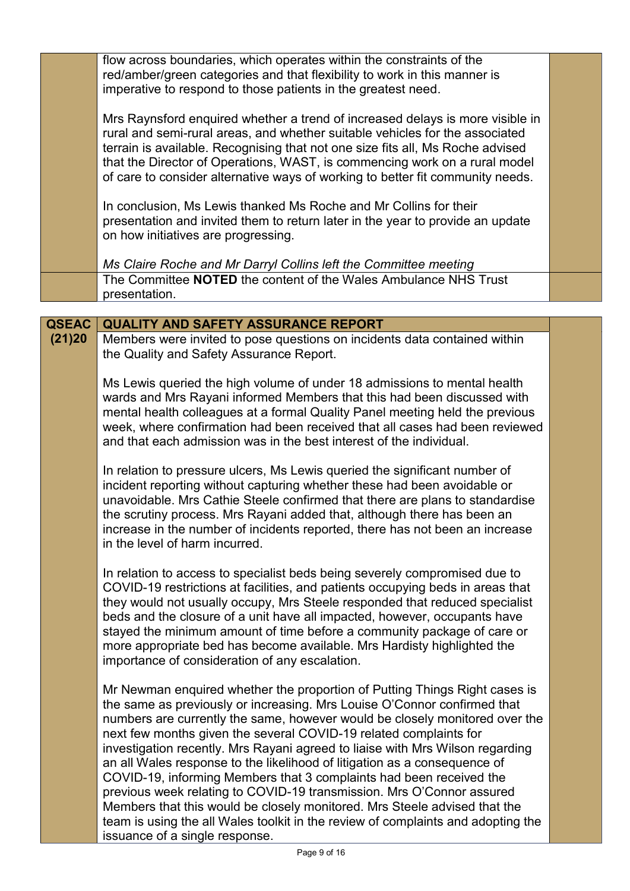|              | flow across boundaries, which operates within the constraints of the<br>red/amber/green categories and that flexibility to work in this manner is<br>imperative to respond to those patients in the greatest need.                                                                                                                                                                                                                                                                                                                                                                                                                                                                                                                                                                                                          |  |
|--------------|-----------------------------------------------------------------------------------------------------------------------------------------------------------------------------------------------------------------------------------------------------------------------------------------------------------------------------------------------------------------------------------------------------------------------------------------------------------------------------------------------------------------------------------------------------------------------------------------------------------------------------------------------------------------------------------------------------------------------------------------------------------------------------------------------------------------------------|--|
|              | Mrs Raynsford enquired whether a trend of increased delays is more visible in<br>rural and semi-rural areas, and whether suitable vehicles for the associated<br>terrain is available. Recognising that not one size fits all, Ms Roche advised<br>that the Director of Operations, WAST, is commencing work on a rural model<br>of care to consider alternative ways of working to better fit community needs.                                                                                                                                                                                                                                                                                                                                                                                                             |  |
|              | In conclusion, Ms Lewis thanked Ms Roche and Mr Collins for their<br>presentation and invited them to return later in the year to provide an update<br>on how initiatives are progressing.                                                                                                                                                                                                                                                                                                                                                                                                                                                                                                                                                                                                                                  |  |
|              | Ms Claire Roche and Mr Darryl Collins left the Committee meeting<br>The Committee NOTED the content of the Wales Ambulance NHS Trust<br>presentation.                                                                                                                                                                                                                                                                                                                                                                                                                                                                                                                                                                                                                                                                       |  |
|              |                                                                                                                                                                                                                                                                                                                                                                                                                                                                                                                                                                                                                                                                                                                                                                                                                             |  |
| <b>QSEAC</b> | <b>QUALITY AND SAFETY ASSURANCE REPORT</b>                                                                                                                                                                                                                                                                                                                                                                                                                                                                                                                                                                                                                                                                                                                                                                                  |  |
| (21)20       | Members were invited to pose questions on incidents data contained within<br>the Quality and Safety Assurance Report.                                                                                                                                                                                                                                                                                                                                                                                                                                                                                                                                                                                                                                                                                                       |  |
|              | Ms Lewis queried the high volume of under 18 admissions to mental health<br>wards and Mrs Rayani informed Members that this had been discussed with<br>mental health colleagues at a formal Quality Panel meeting held the previous<br>week, where confirmation had been received that all cases had been reviewed<br>and that each admission was in the best interest of the individual.                                                                                                                                                                                                                                                                                                                                                                                                                                   |  |
|              | In relation to pressure ulcers, Ms Lewis queried the significant number of<br>incident reporting without capturing whether these had been avoidable or<br>unavoidable. Mrs Cathie Steele confirmed that there are plans to standardise<br>the scrutiny process. Mrs Rayani added that, although there has been an<br>increase in the number of incidents reported, there has not been an increase<br>in the level of harm incurred.                                                                                                                                                                                                                                                                                                                                                                                         |  |
|              | In relation to access to specialist beds being severely compromised due to<br>COVID-19 restrictions at facilities, and patients occupying beds in areas that<br>they would not usually occupy, Mrs Steele responded that reduced specialist<br>beds and the closure of a unit have all impacted, however, occupants have<br>stayed the minimum amount of time before a community package of care or<br>more appropriate bed has become available. Mrs Hardisty highlighted the<br>importance of consideration of any escalation.                                                                                                                                                                                                                                                                                            |  |
|              | Mr Newman enquired whether the proportion of Putting Things Right cases is<br>the same as previously or increasing. Mrs Louise O'Connor confirmed that<br>numbers are currently the same, however would be closely monitored over the<br>next few months given the several COVID-19 related complaints for<br>investigation recently. Mrs Rayani agreed to liaise with Mrs Wilson regarding<br>an all Wales response to the likelihood of litigation as a consequence of<br>COVID-19, informing Members that 3 complaints had been received the<br>previous week relating to COVID-19 transmission. Mrs O'Connor assured<br>Members that this would be closely monitored. Mrs Steele advised that the<br>team is using the all Wales toolkit in the review of complaints and adopting the<br>issuance of a single response. |  |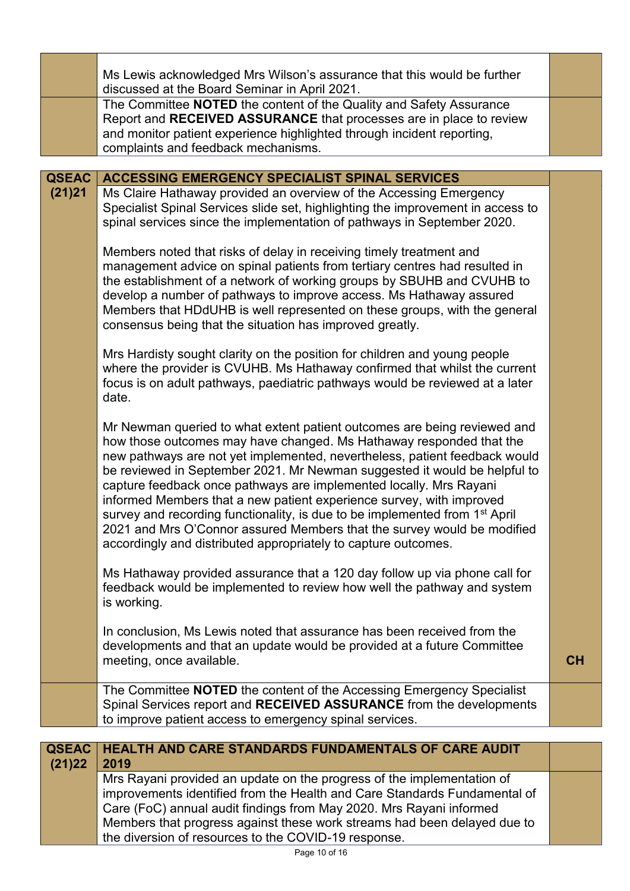|                        | Ms Lewis acknowledged Mrs Wilson's assurance that this would be further<br>discussed at the Board Seminar in April 2021.<br>The Committee NOTED the content of the Quality and Safety Assurance<br>Report and RECEIVED ASSURANCE that processes are in place to review<br>and monitor patient experience highlighted through incident reporting,<br>complaints and feedback mechanisms.                                                                                                                                                                                                                                                                                                          |    |
|------------------------|--------------------------------------------------------------------------------------------------------------------------------------------------------------------------------------------------------------------------------------------------------------------------------------------------------------------------------------------------------------------------------------------------------------------------------------------------------------------------------------------------------------------------------------------------------------------------------------------------------------------------------------------------------------------------------------------------|----|
|                        |                                                                                                                                                                                                                                                                                                                                                                                                                                                                                                                                                                                                                                                                                                  |    |
| <b>QSEAC</b><br>(21)21 | <b>ACCESSING EMERGENCY SPECIALIST SPINAL SERVICES</b><br>Ms Claire Hathaway provided an overview of the Accessing Emergency<br>Specialist Spinal Services slide set, highlighting the improvement in access to<br>spinal services since the implementation of pathways in September 2020.                                                                                                                                                                                                                                                                                                                                                                                                        |    |
|                        | Members noted that risks of delay in receiving timely treatment and<br>management advice on spinal patients from tertiary centres had resulted in<br>the establishment of a network of working groups by SBUHB and CVUHB to<br>develop a number of pathways to improve access. Ms Hathaway assured<br>Members that HDdUHB is well represented on these groups, with the general<br>consensus being that the situation has improved greatly.                                                                                                                                                                                                                                                      |    |
|                        | Mrs Hardisty sought clarity on the position for children and young people<br>where the provider is CVUHB. Ms Hathaway confirmed that whilst the current<br>focus is on adult pathways, paediatric pathways would be reviewed at a later<br>date.                                                                                                                                                                                                                                                                                                                                                                                                                                                 |    |
|                        | Mr Newman queried to what extent patient outcomes are being reviewed and<br>how those outcomes may have changed. Ms Hathaway responded that the<br>new pathways are not yet implemented, nevertheless, patient feedback would<br>be reviewed in September 2021. Mr Newman suggested it would be helpful to<br>capture feedback once pathways are implemented locally. Mrs Rayani<br>informed Members that a new patient experience survey, with improved<br>survey and recording functionality, is due to be implemented from 1 <sup>st</sup> April<br>2021 and Mrs O'Connor assured Members that the survey would be modified<br>accordingly and distributed appropriately to capture outcomes. |    |
|                        | Ms Hathaway provided assurance that a 120 day follow up via phone call for<br>feedback would be implemented to review how well the pathway and system<br>is working.                                                                                                                                                                                                                                                                                                                                                                                                                                                                                                                             |    |
|                        | In conclusion, Ms Lewis noted that assurance has been received from the<br>developments and that an update would be provided at a future Committee<br>meeting, once available.                                                                                                                                                                                                                                                                                                                                                                                                                                                                                                                   | CH |
|                        | The Committee <b>NOTED</b> the content of the Accessing Emergency Specialist<br>Spinal Services report and RECEIVED ASSURANCE from the developments<br>to improve patient access to emergency spinal services.                                                                                                                                                                                                                                                                                                                                                                                                                                                                                   |    |
|                        |                                                                                                                                                                                                                                                                                                                                                                                                                                                                                                                                                                                                                                                                                                  |    |
| <b>QSEAC</b><br>(21)22 | <b>HEALTH AND CARE STANDARDS FUNDAMENTALS OF CARE AUDIT</b><br>2019                                                                                                                                                                                                                                                                                                                                                                                                                                                                                                                                                                                                                              |    |
|                        | Mrs Rayani provided an update on the progress of the implementation of<br>improvements identified from the Health and Care Standards Fundamental of<br>Care (FoC) annual audit findings from May 2020. Mrs Rayani informed<br>Members that progress against these work streams had been delayed due to<br>the diversion of resources to the COVID-19 response.                                                                                                                                                                                                                                                                                                                                   |    |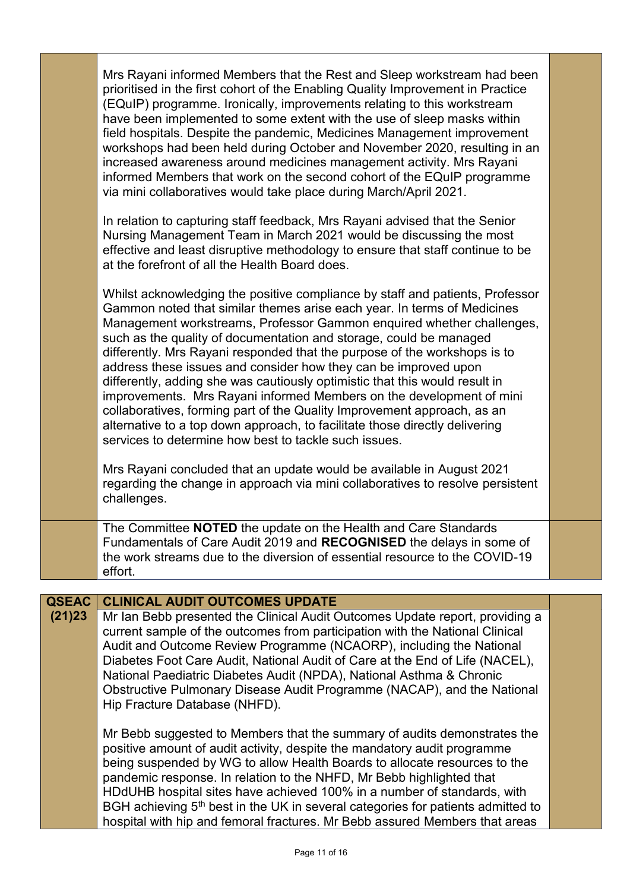|                        | Mrs Rayani informed Members that the Rest and Sleep workstream had been<br>prioritised in the first cohort of the Enabling Quality Improvement in Practice<br>(EQuIP) programme. Ironically, improvements relating to this workstream<br>have been implemented to some extent with the use of sleep masks within<br>field hospitals. Despite the pandemic, Medicines Management improvement<br>workshops had been held during October and November 2020, resulting in an<br>increased awareness around medicines management activity. Mrs Rayani<br>informed Members that work on the second cohort of the EQuIP programme<br>via mini collaboratives would take place during March/April 2021.                                                                                                                                                                                                                                                                                                             |  |
|------------------------|-------------------------------------------------------------------------------------------------------------------------------------------------------------------------------------------------------------------------------------------------------------------------------------------------------------------------------------------------------------------------------------------------------------------------------------------------------------------------------------------------------------------------------------------------------------------------------------------------------------------------------------------------------------------------------------------------------------------------------------------------------------------------------------------------------------------------------------------------------------------------------------------------------------------------------------------------------------------------------------------------------------|--|
|                        | In relation to capturing staff feedback, Mrs Rayani advised that the Senior<br>Nursing Management Team in March 2021 would be discussing the most<br>effective and least disruptive methodology to ensure that staff continue to be<br>at the forefront of all the Health Board does.                                                                                                                                                                                                                                                                                                                                                                                                                                                                                                                                                                                                                                                                                                                       |  |
|                        | Whilst acknowledging the positive compliance by staff and patients, Professor<br>Gammon noted that similar themes arise each year. In terms of Medicines<br>Management workstreams, Professor Gammon enquired whether challenges,<br>such as the quality of documentation and storage, could be managed<br>differently. Mrs Rayani responded that the purpose of the workshops is to<br>address these issues and consider how they can be improved upon<br>differently, adding she was cautiously optimistic that this would result in<br>improvements. Mrs Rayani informed Members on the development of mini<br>collaboratives, forming part of the Quality Improvement approach, as an<br>alternative to a top down approach, to facilitate those directly delivering<br>services to determine how best to tackle such issues.<br>Mrs Rayani concluded that an update would be available in August 2021<br>regarding the change in approach via mini collaboratives to resolve persistent<br>challenges. |  |
|                        | The Committee NOTED the update on the Health and Care Standards<br>Fundamentals of Care Audit 2019 and RECOGNISED the delays in some of<br>the work streams due to the diversion of essential resource to the COVID-19<br>effort.                                                                                                                                                                                                                                                                                                                                                                                                                                                                                                                                                                                                                                                                                                                                                                           |  |
|                        |                                                                                                                                                                                                                                                                                                                                                                                                                                                                                                                                                                                                                                                                                                                                                                                                                                                                                                                                                                                                             |  |
| <b>QSEAC</b><br>(21)23 | <b>CLINICAL AUDIT OUTCOMES UPDATE</b><br>Mr Ian Bebb presented the Clinical Audit Outcomes Update report, providing a<br>current sample of the outcomes from participation with the National Clinical<br>Audit and Outcome Review Programme (NCAORP), including the National<br>Diabetes Foot Care Audit, National Audit of Care at the End of Life (NACEL),<br>National Paediatric Diabetes Audit (NPDA), National Asthma & Chronic<br>Obstructive Pulmonary Disease Audit Programme (NACAP), and the National<br>Hip Fracture Database (NHFD).                                                                                                                                                                                                                                                                                                                                                                                                                                                            |  |
|                        | Mr Bebb suggested to Members that the summary of audits demonstrates the<br>positive amount of audit activity, despite the mandatory audit programme<br>being suspended by WG to allow Health Boards to allocate resources to the<br>pandemic response. In relation to the NHFD, Mr Bebb highlighted that<br>HDdUHB hospital sites have achieved 100% in a number of standards, with<br>BGH achieving 5 <sup>th</sup> best in the UK in several categories for patients admitted to<br>hospital with hip and femoral fractures. Mr Bebb assured Members that areas                                                                                                                                                                                                                                                                                                                                                                                                                                          |  |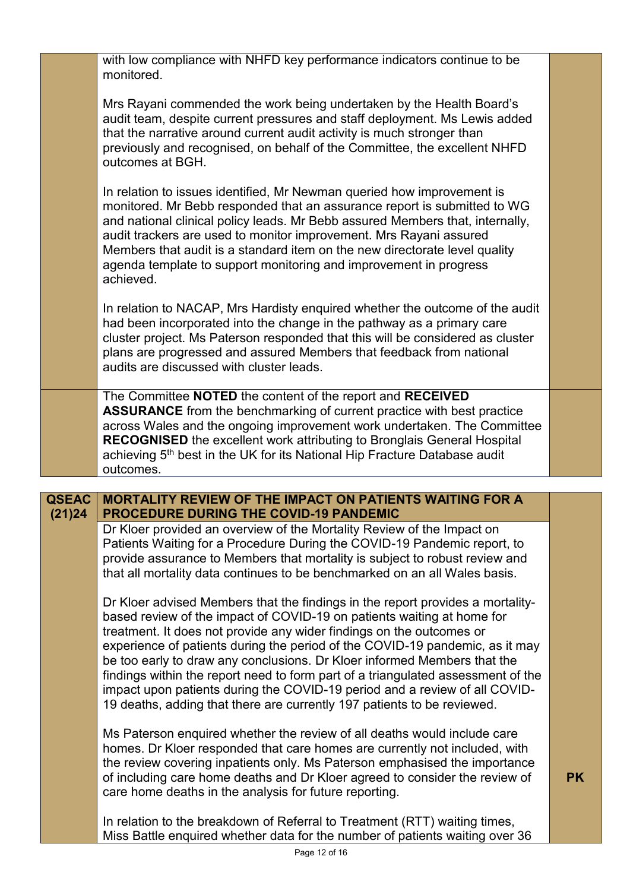|              | with low compliance with NHFD key performance indicators continue to be<br>monitored.                                                                                                                                                                                                                                                                                                                                                                                                                                        |           |
|--------------|------------------------------------------------------------------------------------------------------------------------------------------------------------------------------------------------------------------------------------------------------------------------------------------------------------------------------------------------------------------------------------------------------------------------------------------------------------------------------------------------------------------------------|-----------|
|              | Mrs Rayani commended the work being undertaken by the Health Board's<br>audit team, despite current pressures and staff deployment. Ms Lewis added<br>that the narrative around current audit activity is much stronger than<br>previously and recognised, on behalf of the Committee, the excellent NHFD<br>outcomes at BGH.                                                                                                                                                                                                |           |
|              | In relation to issues identified, Mr Newman queried how improvement is<br>monitored. Mr Bebb responded that an assurance report is submitted to WG<br>and national clinical policy leads. Mr Bebb assured Members that, internally,<br>audit trackers are used to monitor improvement. Mrs Rayani assured<br>Members that audit is a standard item on the new directorate level quality<br>agenda template to support monitoring and improvement in progress<br>achieved.                                                    |           |
|              | In relation to NACAP, Mrs Hardisty enquired whether the outcome of the audit<br>had been incorporated into the change in the pathway as a primary care<br>cluster project. Ms Paterson responded that this will be considered as cluster<br>plans are progressed and assured Members that feedback from national<br>audits are discussed with cluster leads.                                                                                                                                                                 |           |
|              | The Committee NOTED the content of the report and RECEIVED<br><b>ASSURANCE</b> from the benchmarking of current practice with best practice<br>across Wales and the ongoing improvement work undertaken. The Committee<br><b>RECOGNISED</b> the excellent work attributing to Bronglais General Hospital<br>achieving 5 <sup>th</sup> best in the UK for its National Hip Fracture Database audit<br>outcomes.                                                                                                               |           |
|              |                                                                                                                                                                                                                                                                                                                                                                                                                                                                                                                              |           |
| <b>QSEAC</b> | <b>MORTALITY REVIEW OF THE IMPACT ON PATIENTS WAITING FOR A</b>                                                                                                                                                                                                                                                                                                                                                                                                                                                              |           |
| (21)24       | <b>PROCEDURE DURING THE COVID-19 PANDEMIC</b><br>Dr Kloer provided an overview of the Mortality Review of the Impact on<br>Patients Waiting for a Procedure During the COVID-19 Pandemic report, to<br>provide assurance to Members that mortality is subject to robust review and<br>that all mortality data continues to be benchmarked on an all Wales basis.<br>Dr Kloer advised Members that the findings in the report provides a mortality-<br>based review of the impact of COVID-19 on patients waiting at home for |           |
|              | treatment. It does not provide any wider findings on the outcomes or<br>experience of patients during the period of the COVID-19 pandemic, as it may<br>be too early to draw any conclusions. Dr Kloer informed Members that the<br>findings within the report need to form part of a triangulated assessment of the<br>impact upon patients during the COVID-19 period and a review of all COVID-<br>19 deaths, adding that there are currently 197 patients to be reviewed.                                                |           |
|              | Ms Paterson enquired whether the review of all deaths would include care<br>homes. Dr Kloer responded that care homes are currently not included, with<br>the review covering inpatients only. Ms Paterson emphasised the importance<br>of including care home deaths and Dr Kloer agreed to consider the review of<br>care home deaths in the analysis for future reporting.                                                                                                                                                | <b>PK</b> |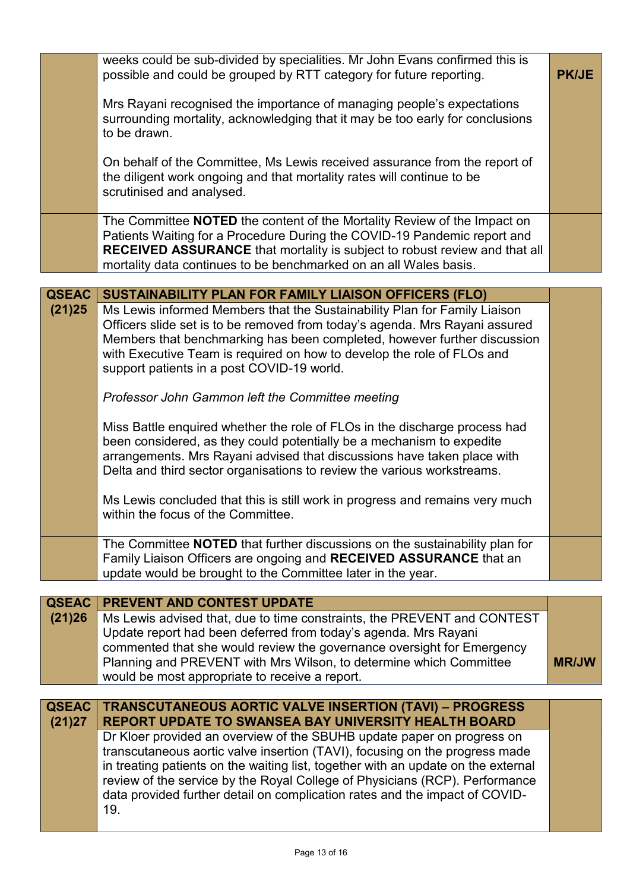|                        | weeks could be sub-divided by specialities. Mr John Evans confirmed this is<br>possible and could be grouped by RTT category for future reporting.                                                                                                                                                                                                                                                                                                                                                                                               | <b>PK/JE</b> |
|------------------------|--------------------------------------------------------------------------------------------------------------------------------------------------------------------------------------------------------------------------------------------------------------------------------------------------------------------------------------------------------------------------------------------------------------------------------------------------------------------------------------------------------------------------------------------------|--------------|
|                        | Mrs Rayani recognised the importance of managing people's expectations<br>surrounding mortality, acknowledging that it may be too early for conclusions<br>to be drawn.                                                                                                                                                                                                                                                                                                                                                                          |              |
|                        | On behalf of the Committee, Ms Lewis received assurance from the report of<br>the diligent work ongoing and that mortality rates will continue to be<br>scrutinised and analysed.                                                                                                                                                                                                                                                                                                                                                                |              |
|                        | The Committee <b>NOTED</b> the content of the Mortality Review of the Impact on<br>Patients Waiting for a Procedure During the COVID-19 Pandemic report and<br><b>RECEIVED ASSURANCE</b> that mortality is subject to robust review and that all<br>mortality data continues to be benchmarked on an all Wales basis.                                                                                                                                                                                                                            |              |
| <b>QSEAC</b>           |                                                                                                                                                                                                                                                                                                                                                                                                                                                                                                                                                  |              |
| (21)25                 | SUSTAINABILITY PLAN FOR FAMILY LIAISON OFFICERS (FLO)<br>Ms Lewis informed Members that the Sustainability Plan for Family Liaison                                                                                                                                                                                                                                                                                                                                                                                                               |              |
|                        | Officers slide set is to be removed from today's agenda. Mrs Rayani assured<br>Members that benchmarking has been completed, however further discussion<br>with Executive Team is required on how to develop the role of FLOs and<br>support patients in a post COVID-19 world.                                                                                                                                                                                                                                                                  |              |
|                        | Professor John Gammon left the Committee meeting                                                                                                                                                                                                                                                                                                                                                                                                                                                                                                 |              |
|                        | Miss Battle enquired whether the role of FLOs in the discharge process had<br>been considered, as they could potentially be a mechanism to expedite<br>arrangements. Mrs Rayani advised that discussions have taken place with<br>Delta and third sector organisations to review the various workstreams.                                                                                                                                                                                                                                        |              |
|                        | Ms Lewis concluded that this is still work in progress and remains very much<br>within the focus of the Committee.                                                                                                                                                                                                                                                                                                                                                                                                                               |              |
|                        | The Committee NOTED that further discussions on the sustainability plan for<br>Family Liaison Officers are ongoing and RECEIVED ASSURANCE that an<br>update would be brought to the Committee later in the year.                                                                                                                                                                                                                                                                                                                                 |              |
| <b>QSEAC</b>           | <b>PREVENT AND CONTEST UPDATE</b>                                                                                                                                                                                                                                                                                                                                                                                                                                                                                                                |              |
| (21)26                 | Ms Lewis advised that, due to time constraints, the PREVENT and CONTEST<br>Update report had been deferred from today's agenda. Mrs Rayani<br>commented that she would review the governance oversight for Emergency<br>Planning and PREVENT with Mrs Wilson, to determine which Committee<br>would be most appropriate to receive a report.                                                                                                                                                                                                     | <b>MR/JW</b> |
|                        |                                                                                                                                                                                                                                                                                                                                                                                                                                                                                                                                                  |              |
| <b>QSEAC</b><br>(21)27 | <b>TRANSCUTANEOUS AORTIC VALVE INSERTION (TAVI) - PROGRESS</b><br><b>REPORT UPDATE TO SWANSEA BAY UNIVERSITY HEALTH BOARD</b><br>Dr Kloer provided an overview of the SBUHB update paper on progress on<br>transcutaneous aortic valve insertion (TAVI), focusing on the progress made<br>in treating patients on the waiting list, together with an update on the external<br>review of the service by the Royal College of Physicians (RCP). Performance<br>data provided further detail on complication rates and the impact of COVID-<br>19. |              |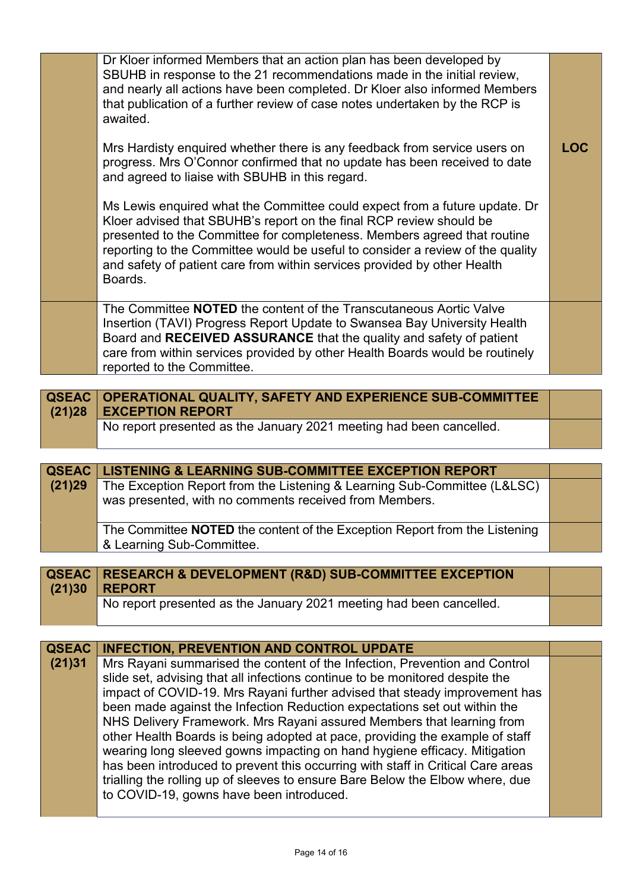| Dr Kloer informed Members that an action plan has been developed by<br>SBUHB in response to the 21 recommendations made in the initial review,<br>and nearly all actions have been completed. Dr Kloer also informed Members<br>that publication of a further review of case notes undertaken by the RCP is<br>awaited.<br>Mrs Hardisty enquired whether there is any feedback from service users on<br>progress. Mrs O'Connor confirmed that no update has been received to date<br>and agreed to liaise with SBUHB in this regard.<br>Ms Lewis enquired what the Committee could expect from a future update. Dr<br>Kloer advised that SBUHB's report on the final RCP review should be<br>presented to the Committee for completeness. Members agreed that routine<br>reporting to the Committee would be useful to consider a review of the quality<br>and safety of patient care from within services provided by other Health<br>Boards. | LOC |
|------------------------------------------------------------------------------------------------------------------------------------------------------------------------------------------------------------------------------------------------------------------------------------------------------------------------------------------------------------------------------------------------------------------------------------------------------------------------------------------------------------------------------------------------------------------------------------------------------------------------------------------------------------------------------------------------------------------------------------------------------------------------------------------------------------------------------------------------------------------------------------------------------------------------------------------------|-----|
|                                                                                                                                                                                                                                                                                                                                                                                                                                                                                                                                                                                                                                                                                                                                                                                                                                                                                                                                                |     |
| The Committee <b>NOTED</b> the content of the Transcutaneous Aortic Valve<br>Insertion (TAVI) Progress Report Update to Swansea Bay University Health<br>Board and RECEIVED ASSURANCE that the quality and safety of patient<br>care from within services provided by other Health Boards would be routinely<br>reported to the Committee.                                                                                                                                                                                                                                                                                                                                                                                                                                                                                                                                                                                                     |     |

| QSEAC   OPERATIONAL QUALITY, SAFETY AND EXPERIENCE SUB-COMMITTEE<br>$(21)28$ EXCEPTION REPORT |  |
|-----------------------------------------------------------------------------------------------|--|
| No report presented as the January 2021 meeting had been cancelled.                           |  |

|        | QSEAC   LISTENING & LEARNING SUB-COMMITTEE EXCEPTION REPORT                                             |  |
|--------|---------------------------------------------------------------------------------------------------------|--|
| (21)29 | The Exception Report from the Listening & Learning Sub-Committee (L&LSC)                                |  |
|        | was presented, with no comments received from Members.                                                  |  |
|        | The Committee NOTED the content of the Exception Report from the Listening<br>& Learning Sub-Committee. |  |

| QSEAC   RESEARCH & DEVELOPMENT (R&D) SUB-COMMITTEE EXCEPTION        |  |
|---------------------------------------------------------------------|--|
| $(21)30$ REPORT                                                     |  |
| No report presented as the January 2021 meeting had been cancelled. |  |

| <b>QSEAC</b> | <b>INFECTION, PREVENTION AND CONTROL UPDATE</b>                                 |  |
|--------------|---------------------------------------------------------------------------------|--|
| (21)31       | Mrs Rayani summarised the content of the Infection, Prevention and Control      |  |
|              | slide set, advising that all infections continue to be monitored despite the    |  |
|              | impact of COVID-19. Mrs Rayani further advised that steady improvement has      |  |
|              | been made against the Infection Reduction expectations set out within the       |  |
|              | NHS Delivery Framework. Mrs Rayani assured Members that learning from           |  |
|              | other Health Boards is being adopted at pace, providing the example of staff    |  |
|              | wearing long sleeved gowns impacting on hand hygiene efficacy. Mitigation       |  |
|              | has been introduced to prevent this occurring with staff in Critical Care areas |  |
|              | trialling the rolling up of sleeves to ensure Bare Below the Elbow where, due   |  |
|              | to COVID-19, gowns have been introduced.                                        |  |
|              |                                                                                 |  |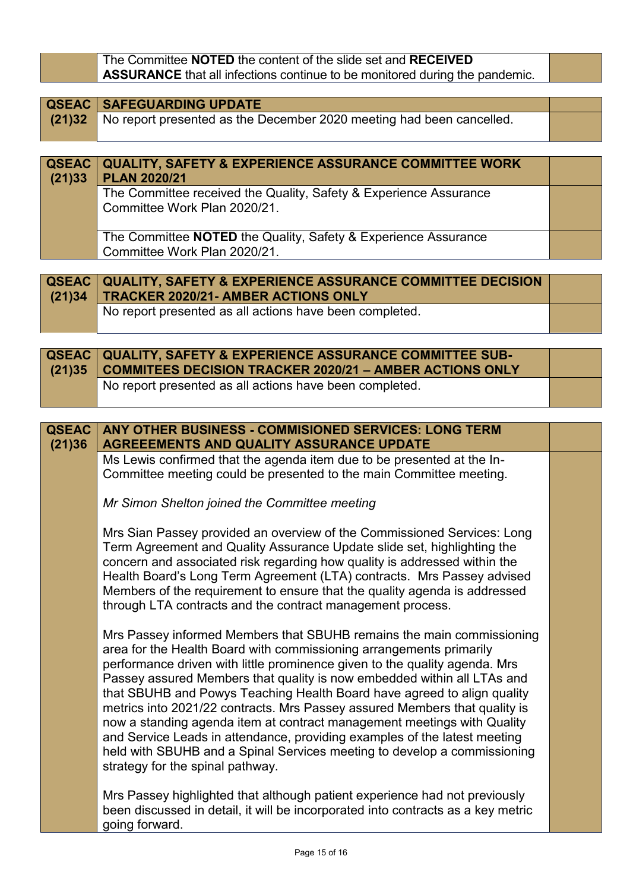| The Committee NOTED the content of the slide set and RECEIVED                      |  |
|------------------------------------------------------------------------------------|--|
| <b>ASSURANCE</b> that all infections continue to be monitored during the pandemic. |  |

| <b>QSEAC   SAFEGUARDING UPDATE  </b>                                        |  |
|-----------------------------------------------------------------------------|--|
| (21)32 No report presented as the December 2020 meeting had been cancelled. |  |
|                                                                             |  |

| (21)33 | QSEAC   QUALITY, SAFETY & EXPERIENCE ASSURANCE COMMITTEE WORK<br><b>PLAN 2020/21</b>              |  |
|--------|---------------------------------------------------------------------------------------------------|--|
|        | The Committee received the Quality, Safety & Experience Assurance<br>Committee Work Plan 2020/21. |  |
|        | The Committee NOTED the Quality, Safety & Experience Assurance<br>Committee Work Plan 2020/21.    |  |

| <b>QSEAC QUALITY, SAFETY &amp; EXPERIENCE ASSURANCE COMMITTEE DECISION</b><br>(21)34   TRACKER 2020/21- AMBER ACTIONS ONLY |  |
|----------------------------------------------------------------------------------------------------------------------------|--|
| No report presented as all actions have been completed.                                                                    |  |

| <b>QSEAC   QUALITY, SAFETY &amp; EXPERIENCE ASSURANCE COMMITTEE SUB-</b><br>(21)35 COMMITEES DECISION TRACKER 2020/21 - AMBER ACTIONS ONLY |  |
|--------------------------------------------------------------------------------------------------------------------------------------------|--|
| No report presented as all actions have been completed.                                                                                    |  |

#### **QSEAC (21)36 ANY OTHER BUSINESS - COMMISIONED SERVICES: LONG TERM AGREEEMENTS AND QUALITY ASSURANCE UPDATE**

Ms Lewis confirmed that the agenda item due to be presented at the In-Committee meeting could be presented to the main Committee meeting.

*Mr Simon Shelton joined the Committee meeting*

Mrs Sian Passey provided an overview of the Commissioned Services: Long Term Agreement and Quality Assurance Update slide set, highlighting the concern and associated risk regarding how quality is addressed within the Health Board's Long Term Agreement (LTA) contracts. Mrs Passey advised Members of the requirement to ensure that the quality agenda is addressed through LTA contracts and the contract management process.

Mrs Passey informed Members that SBUHB remains the main commissioning area for the Health Board with commissioning arrangements primarily performance driven with little prominence given to the quality agenda. Mrs Passey assured Members that quality is now embedded within all LTAs and that SBUHB and Powys Teaching Health Board have agreed to align quality metrics into 2021/22 contracts. Mrs Passey assured Members that quality is now a standing agenda item at contract management meetings with Quality and Service Leads in attendance, providing examples of the latest meeting held with SBUHB and a Spinal Services meeting to develop a commissioning strategy for the spinal pathway.

Mrs Passey highlighted that although patient experience had not previously been discussed in detail, it will be incorporated into contracts as a key metric going forward.